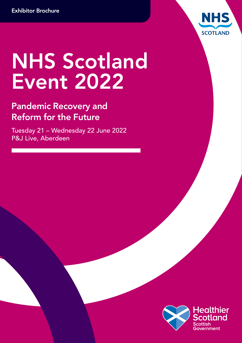

# NHS Scotland Event 2022

### Pandemic Recovery and Reform for the Future

Tuesday 21 – Wednesday 22 June 2022 P&J Live, Aberdeen

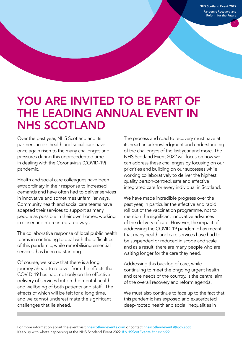NHS Scotland Event 2022 Pandemic Recovery and Reform for the Future

 $02$ 

### YOU ARE INVITED TO BE PART OF THE LEADING ANNUAL EVENT IN NHS SCOTLAND

Over the past year, NHS Scotland and its partners across health and social care have once again risen to the many challenges and pressures during this unprecedented time in dealing with the Coronavirus (COVID-19) pandemic.

Health and social care colleagues have been extraordinary in their response to increased demands and have often had to deliver services in innovative and sometimes unfamiliar ways. Community health and social care teams have adapted their services to support as many people as possible in their own homes, working in closer and more integrated ways.

The collaborative response of local public health teams in continuing to deal with the difficulties of this pandemic, while remobilising essential services, has been outstanding.

Of course, we know that there is a long journey ahead to recover from the effects that COVID-19 has had, not only on the effective delivery of services but on the mental health and wellbeing of both patients and staff. The effects of which will be felt for a long time, and we cannot underestimate the significant challenges that lie ahead.

The process and road to recovery must have at its heart an acknowledgment and understanding of the challenges of the last year and more. The NHS Scotland Event 2022 will focus on how we can address these challenges by focusing on our priorities and building on our successes while working collaboratively to deliver the highest quality person-centred, safe and effective integrated care for every individual in Scotland.

We have made incredible progress over the past year, in particular the effective and rapid roll out of the vaccination programme, not to mention the significant innovative advances of the delivery of care. However, the impact of addressing the COVID-19 pandemic has meant that many health and care services have had to be suspended or reduced in scope and scale and as a result, there are many people who are waiting longer for the care they need.

Addressing this backlog of care, while continuing to meet the ongoing urgent health and care needs of the country, is the central aim of the overall recovery and reform agenda.

We must also continue to face up to the fact that this pandemic has exposed and exacerbated deep-rooted health and social inequalities in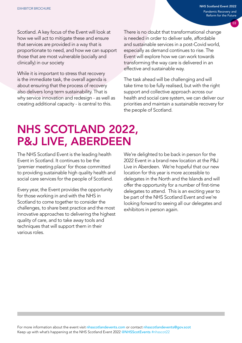NHS Scotland Event 2022 Pandemic Recovery and Reform for the Future

03

Scotland. A key focus of the Event will look at how we will act to mitigate these and ensure that services are provided in a way that is proportionate to need, and how we can support those that are most vulnerable (socially and clinically) in our society

While it is important to stress that recovery is the immediate task, the overall agenda is about ensuring that the process of recovery also delivers long term sustainability. That is why service innovation and redesign - as well as creating additional capacity - is central to this.

There is no doubt that transformational change is needed in order to deliver safe, affordable and sustainable services in a post-Covid world, especially as demand continues to rise. The Event will explore how we can work towards transforming the way care is delivered in an effective and sustainable way.

The task ahead will be challenging and will take time to be fully realised, but with the right support and collective approach across our health and social care system, we can deliver our priorities and maintain a sustainable recovery for the people of Scotland.

## NHS SCOTLAND 2022, P&J LIVE, ABERDEEN

The NHS Scotland Event is the leading health Event in Scotland. It continues to be the 'premier meeting place' for those committed to providing sustainable high quality health and social care services for the people of Scotland.

Every year, the Event provides the opportunity for those working in and with the NHS in Scotland to come together to consider the challenges, to share best practice and the most innovative approaches to delivering the highest quality of care, and to take away tools and techniques that will support them in their various roles.

We're delighted to be back in person for the 2022 Event in a brand new location at the P&J Live in Aberdeen. We're hopeful that our new location for this year is more accessible to delegates in the North and the Islands and will offer the opportunity for a number of first-time delegates to attend. This is an exciting year to be part of the NHS Scotland Event and we're looking forward to seeing all our delegates and exhibitors in person again.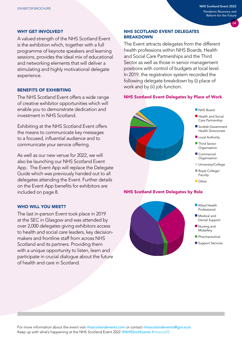#### WHY GET INVOLVED?

A valued strength of the NHS Scotland Event is the exhibition which, together with a full programme of keynote speakers and learning sessions, provides the ideal mix of educational and networking elements that will deliver a stimulating and highly motivational delegate experience.

#### BENEFITS OF EXHIBITING

The NHS Scotland Event offers a wide range of creative exhibitor opportunities which will enable you to demonstrate dedication and investment in NHS Scotland.

Exhibiting at the NHS Scotland Event offers the means to communicate key messages to a focused, influential audience and to communicate your service offering.

As well as our new venue for 2022, we will also be launching our NHS Scotland Event App. The Event App will replace the Delegate Guide which was previously handed out to all delegates attending the Event. Further details on the Event App benefits for exhibitors are included on page 8.

#### WHO WILL YOU MEET?

The last in-person Event took place in 2019 at the SEC in Glasgow and was attended by over 2,000 delegates giving exhibitors access to health and social care leaders, key decisionmakers and frontline staff from across NHS Scotland and its partners. Providing them with a unique opportunity to listen, learn and participate in crucial dialogue about the future of health and care in Scotland.

#### NHS SCOTLAND EVENT DELEGATES BREAKDOWN

The Event attracts delegates from the different health professions within NHS Boards, Health and Social Care Partnerships and the Third Sector as well as those in senior management positions with control of budgets at local level. In 2019, the registration system recorded the following delegate breakdown by (i) place of work and by (ii) job function.

#### NHS Scotland Event Delegates by Place of Work



#### NHS Scotland Event Delegates by Role



- **n** Allied Health Professional
- $\blacksquare$  Medical and Dental Support
- $\blacksquare$  Nursing and **Midwifery**
- $\blacksquare$  Pharmaceutical
- Support Services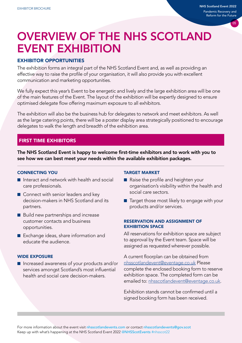### OVERVIEW OF THE NHS SCOTLAND EVENT EXHIBITION

#### EXHIBITOR OPPORTUNITIES

The exhibition forms an integral part of the NHS Scotland Event and, as well as providing an effective way to raise the profile of your organisation, it will also provide you with excellent communication and marketing opportunities.

We fully expect this year's Event to be energetic and lively and the large exhibition area will be one of the main features of the Event. The layout of the exhibition will be expertly designed to ensure optimised delegate flow offering maximum exposure to all exhibitors.

The exhibition will also be the business hub for delegates to network and meet exhibitors. As well as the large catering points, there will be a poster display area strategically positioned to encourage delegates to walk the length and breadth of the exhibition area.

#### FIRST TIME EXHIBITORS

The NHS Scotland Event is happy to welcome first-time exhibitors and to work with you to see how we can best meet your needs within the available exhibition packages.

#### CONNECTING YOU

- Interact and network with health and social care professionals.
- Connect with senior leaders and key decision-makers in NHS Scotland and its partners.
- Build new partnerships and increase customer contacts and business opportunities.
- Exchange ideas, share information and educate the audience.

#### WIDE EXPOSURE

■ Increased awareness of your products and/or services amongst Scotland's most influential health and social care decision-makers.

#### TARGET MARKET

- Raise the profile and heighten your organisation's visibility within the health and social care sectors.
- Target those most likely to engage with your products and/or services.

#### RESERVATION AND ASSIGNMENT OF EXHIBITION SPACE

All reservations for exhibition space are subject to approval by the Event team. Space will be assigned as requested wherever possible.

A current floorplan can be obtained from [nhsscotlandevent@eventage.co.uk](mailto:nhsscotlandevent%40eventage.co.uk?subject=) Please complete the enclosed booking form to reserve exhibition space. The completed form can be emailed to: [nhsscotlandevent@eventage.co.uk.](mailto:nhsscotlandevent%40eventage.co.uk?subject=)

Exhibition stands cannot be confirmed until a signed booking form has been received.

For more information about the event visit [nhsscotlandevents.com](http://nhsscotlandevents.com) or contact nhsscotlandevents@gov.scot Keep up with what's happening at the NHS Scotland Event 2022 @[NHSScotEvents](mailto:@NHSScotEvents) #nhsscot22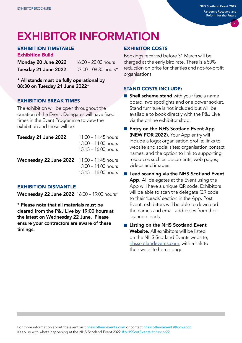# EXHIBITOR INFORMATION

#### EXHIBITION TIMETABLE

Exhibition Build Monday 20 June 2022 16:00 – 20:00 hours

Tuesday 21 June 2022 07:00 – 08:30 hours\*

\* All stands must be fully operational by 08:30 on Tuesday 21 June 2022\*

#### EXHIBITION BREAK TIMES

The exhibition will be open throughout the duration of the Event. Delegates will have fixed times in the Event Programme to view the exhibition and these will be:

| Tuesday 21 June 2022                       | $11:00 - 11:45$ hours<br>$13:00 - 14:00$ hours<br>$15:15 - 16:00$ hours |
|--------------------------------------------|-------------------------------------------------------------------------|
| Wednesday 22 June 2022 11:00 - 11:45 hours | $13:00 - 14:00$ hours<br>$15:15 - 16:00$ hours                          |

#### EXHIBITION DISMANTLE

Wednesday 22 June 2022 16:00 – 19:00 hours\*

\* Please note that all materials must be cleared from the P&J Live by 19:00 hours at the latest on Wednesday 22 June. Please ensure your contractors are aware of these timings.

#### EXHIBITOR COSTS

Bookings received before 31 March will be charged at the early bird rate. There is a 50% reduction on price for charities and not-for-profit organisations.

#### STAND COSTS INCLUDE:

- Shell scheme stand with your fascia name board, two spotlights and one power socket. Stand furniture is not included but will be available to book directly with the P&J Live via the online exhibitor shop.
- Entry on the NHS Scotland Event App (NEW FOR 2022). Your App entry will include a logo; organisation profile; links to website and social sites; organisation contact names; and the option to link to supporting resources such as documents, web pages, videos and images.
- Lead scanning via the NHS Scotland Event App. All delegates at the Event using the App will have a unique QR code. Exhibitors will be able to scan the delegate QR code to their 'Leads' section in the App. Post Event, exhibitors will be able to download the names and email addresses from their scanned leads.
- Listing on the NHS Scotland Event Website. All exhibitors will be listed on the NHS Scotland Events website, [nhsscotlandevents.com,](https://urldefense.com/v3/__http:/www.nhsscotlandevents.com__;!!AaIhyw!9fiPvAQgeFu4V-MmdJQHnSjHcSJlh-ThG3LHj1VC5agQeLKhIQp_XRuXWaiWV1c$) with a link to their website home page.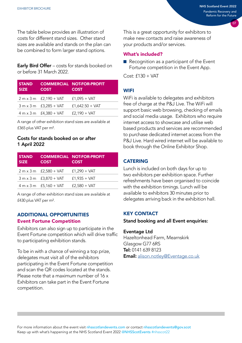The table below provides an illustration of costs for different stand sizes. Other stand sizes are available and stands on the plan can be combined to form larger stand options.

**Early Bird Offer** – costs for stands booked on or before 31 March 2022.

| <b>STAND</b><br><b>SIZE</b> | <b>COST</b>                   | <b>COMMERCIAL NOT-FOR-PROFIT</b><br><b>COST</b> |
|-----------------------------|-------------------------------|-------------------------------------------------|
|                             | $2 m \times 3 m$ £2,190 + VAT | $£1,095 + VAT$                                  |
|                             | $3 m \times 3 m$ £3,285 + VAT | $£1,642.50 + VAT$                               |
|                             | $4 m \times 3 m$ £4,380 + VAT | $f2,190 + VAT$                                  |
|                             |                               |                                                 |

A range of other exhibition stand sizes are available at £365 plus VAT per m².

#### Costs for stands booked on or after 1 April 2022

| <b>STAND</b><br><b>SIZE</b> | <b>COST</b>                   | <b>COMMERCIAL NOT-FOR-PROFIT</b><br><b>COST</b> |
|-----------------------------|-------------------------------|-------------------------------------------------|
|                             | $2 m \times 3 m$ £2,580 + VAT | $£1,290 + VAT$                                  |
|                             | $3 m \times 3 m$ £3,870 + VAT | $f1,935 + VAT$                                  |
|                             | $4 m \times 3 m$ £5,160 + VAT | $£2,580 + VAT$                                  |

A range of other exhibition stand sizes are available at £430 plus VAT per m².

#### ADDITIONAL OPPORTUNITIES Event Fortune Competition

Exhibitors can also sign up to participate in the Event Fortune competition which will drive traffic to participating exhibition stands.

To be in with a chance of winning a top prize, delegates must visit all of the exhibitors participating in the Event Fortune competition and scan the QR codes located at the stands. Please note that a maximum number of 16 x Exhibitors can take part in the Event Fortune competition.

This is a great opportunity for exhibitors to make new contacts and raise awareness of your products and/or services.

#### What's included?

■ Recognition as a participant of the Event Fortune competition in the Event App.

 $Cost: f130 + VAT$ 

#### **WIFI**

WiFi is available to delegates and exhibitors free of charge at the P&J Live. The WiFi will support basic web browsing, checking of emails and social media usage. Exhibitors who require internet access to showcase and utilise web based products and services are recommended to purchase dedicated internet access from the P&J Live. Hard wired internet will be available to book through the Online Exhibitor Shop.

#### **CATERING**

Lunch is included on both days for up to two exhibitors per exhibition space. Further refreshments have been organised to coincide with the exhibition timings. Lunch will be available to exhibitors 30 minutes prior to delegates arriving back in the exhibition hall.

#### KEY CONTACT

Stand booking and all Event enquiries:

#### Eventage Ltd

Hazeltonhead Farm, Mearnskirk Glasgow G77 6RS Tel: 0141 639 8123 Email: [alison.notley@Eventage.co.uk](mailto:alison.notley@eventage.co.uk)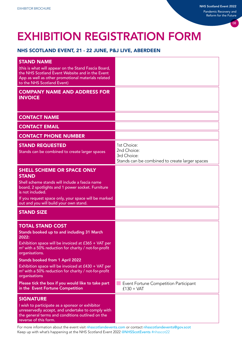# EXHIBITION REGISTRATION FORM

#### NHS SCOTLAND EVENT, 21 - 22 JUNE, P&J LIVE, ABERDEEN

| <b>STAND NAME</b><br>(this is what will appear on the Stand Fascia Board,<br>the NHS Scotland Event Website and in the Event<br>App as well as other promotional materials related<br>to the NHS Scotland Event)                                                                                                                                                                              |                                                                                             |
|-----------------------------------------------------------------------------------------------------------------------------------------------------------------------------------------------------------------------------------------------------------------------------------------------------------------------------------------------------------------------------------------------|---------------------------------------------------------------------------------------------|
| <b>COMPANY NAME AND ADDRESS FOR</b><br><b>INVOICE</b>                                                                                                                                                                                                                                                                                                                                         |                                                                                             |
| <b>CONTACT NAME</b>                                                                                                                                                                                                                                                                                                                                                                           |                                                                                             |
| <b>CONTACT EMAIL</b>                                                                                                                                                                                                                                                                                                                                                                          |                                                                                             |
| <b>CONTACT PHONE NUMBER</b>                                                                                                                                                                                                                                                                                                                                                                   |                                                                                             |
| <b>STAND REQUESTED</b><br>Stands can be combined to create larger spaces                                                                                                                                                                                                                                                                                                                      | 1st Choice:<br>2nd Choice:<br>3rd Choice:<br>Stands can be combined to create larger spaces |
| <b>SHELL SCHEME OR SPACE ONLY</b><br><b>STAND</b><br>Shell scheme stands will include a fascia name<br>board, 2 spotlights and 1 power socket. Furniture<br>is not included.<br>If you request space only, your space will be marked<br>out and you will build your own stand.                                                                                                                |                                                                                             |
| <b>STAND SIZE</b>                                                                                                                                                                                                                                                                                                                                                                             |                                                                                             |
| <b>TOTAL STAND COST</b><br>Stands booked up to and including 31 March<br>2022:<br>Exhibition space will be invoiced at £365 + VAT per<br>$m2$ with a 50% reduction for charity / not-for-profit<br>organisations.<br><b>Stands booked from 1 April 2022</b><br>Exhibition space will be invoiced at £430 + VAT per<br>$m2$ with a 50% reduction for charity / not-for-profit<br>organisations |                                                                                             |
| Please tick the box if you would like to take part<br>in the Event Fortune Competition                                                                                                                                                                                                                                                                                                        | Event Fortune Competition Participant<br>$£130 + VAT$                                       |
| <b>SIGNATURE</b><br>I wish to participate as a sponsor or exhibitor<br>unreservedly accept, and undertake to comply with<br>the general terms and conditions outlined on the<br>reverse of this form.                                                                                                                                                                                         |                                                                                             |

For more information about the event visit [nhsscotlandevents.com](http://nhsscotlandevents.com) or contact nhsscotlandevents@gov.scot Keep up with what's happening at the NHS Scotland Event 2022 @[NHSScotEvents](mailto:@NHSScotEvents) #nhsscot22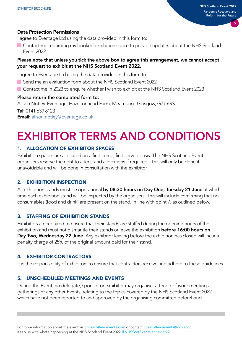#### Data Protection Permissions

I agree to Eventage Ltd using the data provided in this form to:

**Contact me regarding my booked exhibition space to provide updates about the NHS Scotland** Event 2022

#### Please note that unless you tick the above box to agree this arrangement, we cannot accept your request to exhibit at the NHS Scotland Event 2022.

I agree to Eventage Ltd using the data provided in this form to:

- Send me an evaluation form about the NHS Scotland Event 2022
- Contact me in 2023 to enquire whether I wish to exhibit at the NHS Scotland Event 2023

#### Please return the completed form to:

Alison Notley, Eventage, Hazeltonhead Farm, Mearnskirk, Glasgow, G77 6RS Tel: 0141 639 8123 Email: [alison.notley@Eventage.co.uk](mailto:alison.notley@eventage.co.uk)

# EXHIBITOR TERMS AND CONDITIONS

#### 1. ALLOCATION OF EXHIBITOR SPACES

Exhibition spaces are allocated on a first-come, first-served basis. The NHS Scotland Event organisers reserve the right to alter stand allocations if required. This will only be done if unavoidable and will be done in consultation with the exhibitor.

#### 2. EXHIBITION INSPECTION

All exhibition stands must be operational by 08:30 hours on Day One, Tuesday 21 June at which time each exhibition stand will be inspected by the organisers. This will include confirming that no consumables (food and drink) are present on the stand, in line with point 7, as outlined below.

#### 3. STAFFING OF EXHIBITION STANDS

Exhibitors are required to ensure that their stands are staffed during the opening hours of the exhibition and must not dismantle their stands or leave the exhibition **before 16:00 hours on** Day Two, Wednesday 22 June. Any exhibitor leaving before the exhibition has closed will incur a penalty charge of 25% of the original amount paid for their stand.

#### 4. EXHIBITOR CONTRACTORS

It is the responsibility of exhibitors to ensure that contractors receive and adhere to these guidelines.

#### 5. UNSCHEDULED MEETINGS AND EVENTS

During the Event, no delegate, sponsor or exhibitor may organise, attend or favour meetings, gatherings or any other Events, relating to the topics covered by the NHS Scotland Event 2022 which have not been reported to and approved by the organising committee beforehand.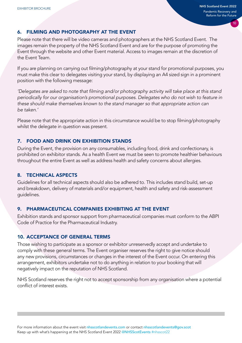#### 6. FILMING AND PHOTOGRAPHY AT THE EVENT

Please note that there will be video cameras and photographers at the NHS Scotland Event. The images remain the property of the NHS Scotland Event and are for the purpose of promoting the Event through the website and other Event material. Access to images remain at the discretion of the Event Team.

If you are planning on carrying out filming/photography at your stand for promotional purposes, you must make this clear to delegates visiting your stand, by displaying an A4 sized sign in a prominent position with the following message:

*'Delegates are asked to note that filming and/or photography activity will take place at this stand periodically for our organisation's promotional purposes. Delegates who do not wish to feature in these should make themselves known to the stand manager so that appropriate action can be taken.'*

Please note that the appropriate action in this circumstance would be to stop filming/photography whilst the delegate in question was present.

#### 7. FOOD AND DRINK ON EXHIBITION STANDS

During the Event, the provision on any consumables, including food, drink and confectionary, is prohibited on exhibitor stands. As a health Event we must be seen to promote healthier behaviours throughout the entire Event as well as address health and safety concerns about allergies.

#### 8. TECHNICAL ASPECTS

Guidelines for all technical aspects should also be adhered to. This includes stand build, set-up and breakdown, delivery of materials and/or equipment, health and safety and risk-assessment guidelines.

#### 9. PHARMACEUTICAL COMPANIES EXHIBITING AT THE EVENT

Exhibition stands and sponsor support from pharmaceutical companies must conform to the ABPI Code of Practice for the Pharmaceutical Industry.

#### 10. ACCEPTANCE OF GENERAL TERMS

Those wishing to participate as a sponsor or exhibitor unreservedly accept and undertake to comply with these general terms. The Event organiser reserves the right to give notice should any new provisions, circumstances or changes in the interest of the Event occur. On entering this arrangement, exhibitors undertake not to do anything in relation to your booking that will negatively impact on the reputation of NHS Scotland.

NHS Scotland reserves the right not to accept sponsorship from any organisation where a potential conflict of interest exists.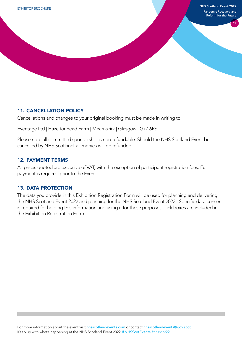#### 11. CANCELLATION POLICY

Cancellations and changes to your original booking must be made in writing to:

Eventage Ltd | Hazeltonhead Farm | Mearnskirk | Glasgow | G77 6RS

Please note all committed sponsorship is non-refundable. Should the NHS Scotland Event be cancelled by NHS Scotland, all monies will be refunded.

#### 12. PAYMENT TERMS

All prices quoted are exclusive of VAT, with the exception of participant registration fees. Full payment is required prior to the Event.

#### 13. DATA PROTECTION

The data you provide in this Exhibition Registration Form will be used for planning and delivering the NHS Scotland Event 2022 and planning for the NHS Scotland Event 2023. Specific data consent is required for holding this information and using it for these purposes. Tick boxes are included in the Exhibition Registration Form.